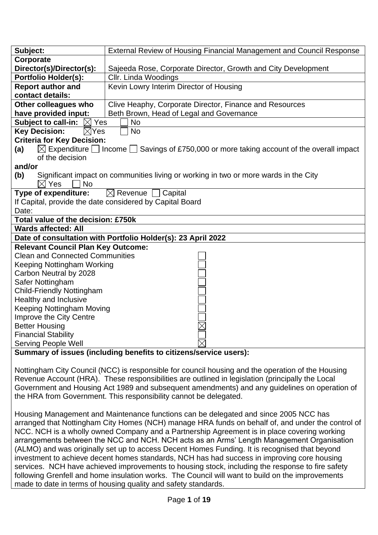| Subject:                                                     | External Review of Housing Financial Management and Council Response                                          |  |  |  |
|--------------------------------------------------------------|---------------------------------------------------------------------------------------------------------------|--|--|--|
| Corporate                                                    |                                                                                                               |  |  |  |
| Director(s)/Director(s):                                     | Sajeeda Rose, Corporate Director, Growth and City Development                                                 |  |  |  |
| <b>Portfolio Holder(s):</b>                                  | Cllr. Linda Woodings                                                                                          |  |  |  |
| <b>Report author and</b>                                     | Kevin Lowry Interim Director of Housing                                                                       |  |  |  |
| contact details:                                             |                                                                                                               |  |  |  |
| Other colleagues who                                         | Clive Heaphy, Corporate Director, Finance and Resources                                                       |  |  |  |
| have provided input:                                         | Beth Brown, Head of Legal and Governance                                                                      |  |  |  |
| <b>Subject to call-in:</b><br>$\boxtimes$ Yes                | <b>No</b>                                                                                                     |  |  |  |
| <b>Key Decision:</b><br><b>No</b><br>$\boxtimes$ Yes         |                                                                                                               |  |  |  |
| <b>Criteria for Key Decision:</b>                            |                                                                                                               |  |  |  |
| (a)                                                          | $\boxtimes$ Expenditure $\Box$ Income $\Box$ Savings of £750,000 or more taking account of the overall impact |  |  |  |
| of the decision                                              |                                                                                                               |  |  |  |
| and/or                                                       |                                                                                                               |  |  |  |
| (b)                                                          | Significant impact on communities living or working in two or more wards in the City                          |  |  |  |
| Yes<br><b>No</b><br>ΙXΙ                                      |                                                                                                               |  |  |  |
| Type of expenditure:<br>$\boxtimes$ Revenue $\Box$ Capital   |                                                                                                               |  |  |  |
| If Capital, provide the date considered by Capital Board     |                                                                                                               |  |  |  |
| Date:                                                        |                                                                                                               |  |  |  |
| Total value of the decision: £750k                           |                                                                                                               |  |  |  |
| <b>Wards affected: All</b>                                   |                                                                                                               |  |  |  |
| Date of consultation with Portfolio Holder(s): 23 April 2022 |                                                                                                               |  |  |  |
| <b>Relevant Council Plan Key Outcome:</b>                    |                                                                                                               |  |  |  |
| <b>Clean and Connected Communities</b>                       |                                                                                                               |  |  |  |
| Keeping Nottingham Working                                   |                                                                                                               |  |  |  |
| Carbon Neutral by 2028                                       |                                                                                                               |  |  |  |
| Safer Nottingham                                             |                                                                                                               |  |  |  |
| <b>Child-Friendly Nottingham</b>                             |                                                                                                               |  |  |  |
| Healthy and Inclusive                                        |                                                                                                               |  |  |  |
| Keeping Nottingham Moving                                    |                                                                                                               |  |  |  |
| Improve the City Centre                                      |                                                                                                               |  |  |  |
| <b>Better Housing</b>                                        |                                                                                                               |  |  |  |
| <b>Financial Stability</b>                                   |                                                                                                               |  |  |  |
| <b>Serving People Well</b>                                   |                                                                                                               |  |  |  |
|                                                              | Cummary of iccuse (including benefits to oitizanglectures usera),                                             |  |  |  |

**Summary of issues (including benefits to citizens/service users):** 

Nottingham City Council (NCC) is responsible for council housing and the operation of the Housing Revenue Account (HRA). These responsibilities are outlined in legislation (principally the Local Government and Housing Act 1989 and subsequent amendments) and any guidelines on operation of the HRA from Government. This responsibility cannot be delegated.

Housing Management and Maintenance functions can be delegated and since 2005 NCC has arranged that Nottingham City Homes (NCH) manage HRA funds on behalf of, and under the control of NCC. NCH is a wholly owned Company and a Partnership Agreement is in place covering working arrangements between the NCC and NCH. NCH acts as an Arms' Length Management Organisation (ALMO) and was originally set up to access Decent Homes Funding. It is recognised that beyond investment to achieve decent homes standards, NCH has had success in improving core housing services. NCH have achieved improvements to housing stock, including the response to fire safety following Grenfell and home insulation works. The Council will want to build on the improvements made to date in terms of housing quality and safety standards.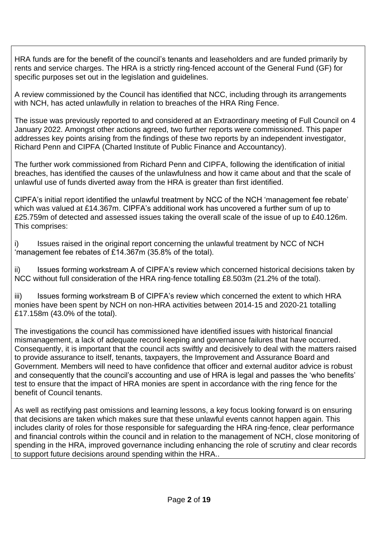HRA funds are for the benefit of the council's tenants and leaseholders and are funded primarily by rents and service charges. The HRA is a strictly ring-fenced account of the General Fund (GF) for specific purposes set out in the legislation and guidelines.

A review commissioned by the Council has identified that NCC, including through its arrangements with NCH, has acted unlawfully in relation to breaches of the HRA Ring Fence.

The issue was previously reported to and considered at an Extraordinary meeting of Full Council on 4 January 2022. Amongst other actions agreed, two further reports were commissioned. This paper addresses key points arising from the findings of these two reports by an independent investigator, Richard Penn and CIPFA (Charted Institute of Public Finance and Accountancy).

The further work commissioned from Richard Penn and CIPFA, following the identification of initial breaches, has identified the causes of the unlawfulness and how it came about and that the scale of unlawful use of funds diverted away from the HRA is greater than first identified.

CIPFA's initial report identified the unlawful treatment by NCC of the NCH 'management fee rebate' which was valued at £14.367m. CIPFA's additional work has uncovered a further sum of up to £25.759m of detected and assessed issues taking the overall scale of the issue of up to £40.126m. This comprises:

i) Issues raised in the original report concerning the unlawful treatment by NCC of NCH 'management fee rebates of £14.367m (35.8% of the total).

ii) Issues forming workstream A of CIPFA's review which concerned historical decisions taken by NCC without full consideration of the HRA ring-fence totalling £8.503m (21.2% of the total).

iii) Issues forming workstream B of CIPFA's review which concerned the extent to which HRA monies have been spent by NCH on non-HRA activities between 2014-15 and 2020-21 totalling £17.158m (43.0% of the total).

The investigations the council has commissioned have identified issues with historical financial mismanagement, a lack of adequate record keeping and governance failures that have occurred. Consequently, it is important that the council acts swiftly and decisively to deal with the matters raised to provide assurance to itself, tenants, taxpayers, the Improvement and Assurance Board and Government. Members will need to have confidence that officer and external auditor advice is robust and consequently that the council's accounting and use of HRA is legal and passes the 'who benefits' test to ensure that the impact of HRA monies are spent in accordance with the ring fence for the benefit of Council tenants.

As well as rectifying past omissions and learning lessons, a key focus looking forward is on ensuring that decisions are taken which makes sure that these unlawful events cannot happen again. This includes clarity of roles for those responsible for safeguarding the HRA ring-fence, clear performance and financial controls within the council and in relation to the management of NCH, close monitoring of spending in the HRA, improved governance including enhancing the role of scrutiny and clear records to support future decisions around spending within the HRA..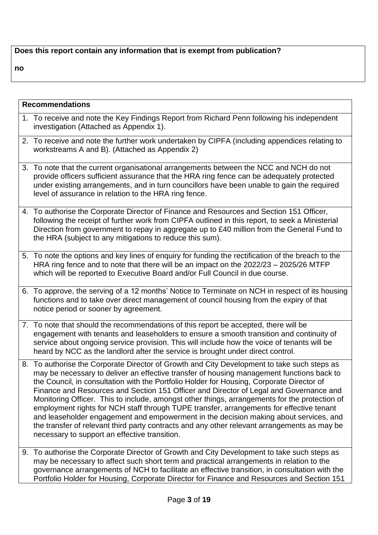# **Does this report contain any information that is exempt from publication?**

**no**

| <b>Recommendations</b> |                                                                                                                                                                                                                                                                                                                                                                                                                                                                                                                                                                                                                                                                                                                                                                                                                        |  |
|------------------------|------------------------------------------------------------------------------------------------------------------------------------------------------------------------------------------------------------------------------------------------------------------------------------------------------------------------------------------------------------------------------------------------------------------------------------------------------------------------------------------------------------------------------------------------------------------------------------------------------------------------------------------------------------------------------------------------------------------------------------------------------------------------------------------------------------------------|--|
|                        | 1. To receive and note the Key Findings Report from Richard Penn following his independent<br>investigation (Attached as Appendix 1).                                                                                                                                                                                                                                                                                                                                                                                                                                                                                                                                                                                                                                                                                  |  |
|                        | 2. To receive and note the further work undertaken by CIPFA (including appendices relating to<br>workstreams A and B). (Attached as Appendix 2)                                                                                                                                                                                                                                                                                                                                                                                                                                                                                                                                                                                                                                                                        |  |
|                        | 3. To note that the current organisational arrangements between the NCC and NCH do not<br>provide officers sufficient assurance that the HRA ring fence can be adequately protected<br>under existing arrangements, and in turn councillors have been unable to gain the required<br>level of assurance in relation to the HRA ring fence.                                                                                                                                                                                                                                                                                                                                                                                                                                                                             |  |
|                        | 4. To authorise the Corporate Director of Finance and Resources and Section 151 Officer,<br>following the receipt of further work from CIPFA outlined in this report, to seek a Ministerial<br>Direction from government to repay in aggregate up to £40 million from the General Fund to<br>the HRA (subject to any mitigations to reduce this sum).                                                                                                                                                                                                                                                                                                                                                                                                                                                                  |  |
|                        | 5. To note the options and key lines of enquiry for funding the rectification of the breach to the<br>HRA ring fence and to note that there will be an impact on the 2022/23 – 2025/26 MTFP<br>which will be reported to Executive Board and/or Full Council in due course.                                                                                                                                                                                                                                                                                                                                                                                                                                                                                                                                            |  |
|                        | 6. To approve, the serving of a 12 months' Notice to Terminate on NCH in respect of its housing<br>functions and to take over direct management of council housing from the expiry of that<br>notice period or sooner by agreement.                                                                                                                                                                                                                                                                                                                                                                                                                                                                                                                                                                                    |  |
|                        | 7. To note that should the recommendations of this report be accepted, there will be<br>engagement with tenants and leaseholders to ensure a smooth transition and continuity of<br>service about ongoing service provision. This will include how the voice of tenants will be<br>heard by NCC as the landlord after the service is brought under direct control.                                                                                                                                                                                                                                                                                                                                                                                                                                                     |  |
|                        | 8. To authorise the Corporate Director of Growth and City Development to take such steps as<br>may be necessary to deliver an effective transfer of housing management functions back to<br>the Council, in consultation with the Portfolio Holder for Housing, Corporate Director of<br>Finance and Resources and Section 151 Officer and Director of Legal and Governance and<br>Monitoring Officer. This to include, amongst other things, arrangements for the protection of<br>employment rights for NCH staff through TUPE transfer, arrangements for effective tenant<br>and leaseholder engagement and empowerment in the decision making about services, and<br>the transfer of relevant third party contracts and any other relevant arrangements as may be<br>necessary to support an effective transition. |  |
|                        | 9. To authorise the Corporate Director of Growth and City Development to take such steps as<br>may be necessary to affect such short term and practical arrangements in relation to the<br>governance arrangements of NCH to facilitate an effective transition, in consultation with the<br>Portfolio Holder for Housing, Corporate Director for Finance and Resources and Section 151                                                                                                                                                                                                                                                                                                                                                                                                                                |  |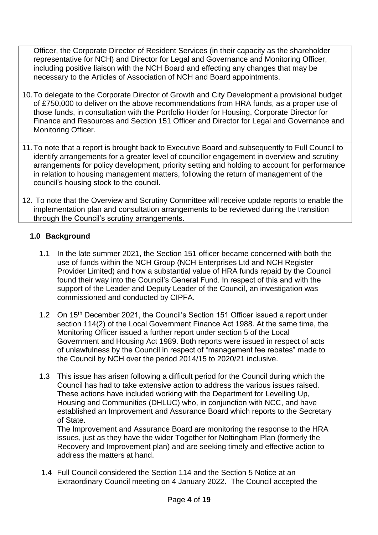Officer, the Corporate Director of Resident Services (in their capacity as the shareholder representative for NCH) and Director for Legal and Governance and Monitoring Officer, including positive liaison with the NCH Board and effecting any changes that may be necessary to the Articles of Association of NCH and Board appointments.

- 10.To delegate to the Corporate Director of Growth and City Development a provisional budget of £750,000 to deliver on the above recommendations from HRA funds, as a proper use of those funds, in consultation with the Portfolio Holder for Housing, Corporate Director for Finance and Resources and Section 151 Officer and Director for Legal and Governance and Monitoring Officer.
- 11.To note that a report is brought back to Executive Board and subsequently to Full Council to identify arrangements for a greater level of councillor engagement in overview and scrutiny arrangements for policy development, priority setting and holding to account for performance in relation to housing management matters, following the return of management of the council's housing stock to the council.

12. To note that the Overview and Scrutiny Committee will receive update reports to enable the implementation plan and consultation arrangements to be reviewed during the transition through the Council's scrutiny arrangements.

### **1.0 Background**

- 1.1 In the late summer 2021, the Section 151 officer became concerned with both the use of funds within the NCH Group (NCH Enterprises Ltd and NCH Register Provider Limited) and how a substantial value of HRA funds repaid by the Council found their way into the Council's General Fund. In respect of this and with the support of the Leader and Deputy Leader of the Council, an investigation was commissioned and conducted by CIPFA.
- 1.2 On 15<sup>th</sup> December 2021, the Council's Section 151 Officer issued a report under section 114(2) of the Local Government Finance Act 1988. At the same time, the Monitoring Officer issued a further report under section 5 of the Local Government and Housing Act 1989. Both reports were issued in respect of acts of unlawfulness by the Council in respect of "management fee rebates" made to the Council by NCH over the period 2014/15 to 2020/21 inclusive.
- 1.3 This issue has arisen following a difficult period for the Council during which the Council has had to take extensive action to address the various issues raised. These actions have included working with the Department for Levelling Up, Housing and Communities (DHLUC) who, in conjunction with NCC, and have established an Improvement and Assurance Board which reports to the Secretary of State.

The Improvement and Assurance Board are monitoring the response to the HRA issues, just as they have the wider Together for Nottingham Plan (formerly the Recovery and Improvement plan) and are seeking timely and effective action to address the matters at hand.

1.4 Full Council considered the Section 114 and the Section 5 Notice at an Extraordinary Council meeting on 4 January 2022. The Council accepted the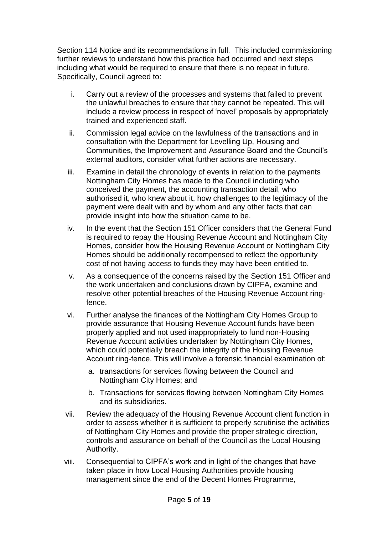Section 114 Notice and its recommendations in full. This included commissioning further reviews to understand how this practice had occurred and next steps including what would be required to ensure that there is no repeat in future. Specifically, Council agreed to:

- i. Carry out a review of the processes and systems that failed to prevent the unlawful breaches to ensure that they cannot be repeated. This will include a review process in respect of 'novel' proposals by appropriately trained and experienced staff.
- ii. Commission legal advice on the lawfulness of the transactions and in consultation with the Department for Levelling Up, Housing and Communities, the Improvement and Assurance Board and the Council's external auditors, consider what further actions are necessary.
- iii. Examine in detail the chronology of events in relation to the payments Nottingham City Homes has made to the Council including who conceived the payment, the accounting transaction detail, who authorised it, who knew about it, how challenges to the legitimacy of the payment were dealt with and by whom and any other facts that can provide insight into how the situation came to be.
- iv. In the event that the Section 151 Officer considers that the General Fund is required to repay the Housing Revenue Account and Nottingham City Homes, consider how the Housing Revenue Account or Nottingham City Homes should be additionally recompensed to reflect the opportunity cost of not having access to funds they may have been entitled to.
- v. As a consequence of the concerns raised by the Section 151 Officer and the work undertaken and conclusions drawn by CIPFA, examine and resolve other potential breaches of the Housing Revenue Account ringfence.
- vi. Further analyse the finances of the Nottingham City Homes Group to provide assurance that Housing Revenue Account funds have been properly applied and not used inappropriately to fund non-Housing Revenue Account activities undertaken by Nottingham City Homes, which could potentially breach the integrity of the Housing Revenue Account ring-fence. This will involve a forensic financial examination of:
	- a. transactions for services flowing between the Council and Nottingham City Homes; and
	- b. Transactions for services flowing between Nottingham City Homes and its subsidiaries.
- vii. Review the adequacy of the Housing Revenue Account client function in order to assess whether it is sufficient to properly scrutinise the activities of Nottingham City Homes and provide the proper strategic direction, controls and assurance on behalf of the Council as the Local Housing Authority.
- viii. Consequential to CIPFA's work and in light of the changes that have taken place in how Local Housing Authorities provide housing management since the end of the Decent Homes Programme,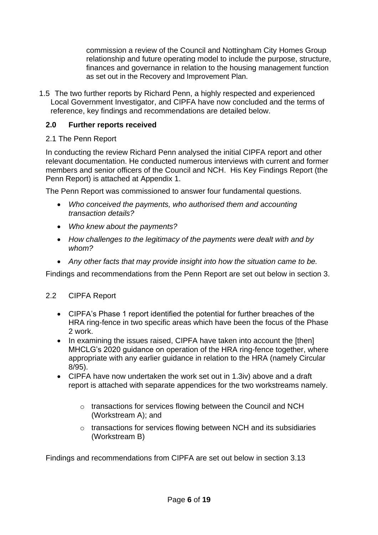commission a review of the Council and Nottingham City Homes Group relationship and future operating model to include the purpose, structure, finances and governance in relation to the housing management function as set out in the Recovery and Improvement Plan.

1.5 The two further reports by Richard Penn, a highly respected and experienced Local Government Investigator, and CIPFA have now concluded and the terms of reference, key findings and recommendations are detailed below.

#### **2.0 Further reports received**

#### 2.1 The Penn Report

In conducting the review Richard Penn analysed the initial CIPFA report and other relevant documentation. He conducted numerous interviews with current and former members and senior officers of the Council and NCH. His Key Findings Report (the Penn Report) is attached at Appendix 1.

The Penn Report was commissioned to answer four fundamental questions.

- *Who conceived the payments, who authorised them and accounting transaction details?*
- *Who knew about the payments?*
- *How challenges to the legitimacy of the payments were dealt with and by whom?*
- *Any other facts that may provide insight into how the situation came to be.*

Findings and recommendations from the Penn Report are set out below in section 3.

#### 2.2 CIPFA Report

- CIPFA's Phase 1 report identified the potential for further breaches of the HRA ring-fence in two specific areas which have been the focus of the Phase 2 work.
- In examining the issues raised, CIPFA have taken into account the [then] MHCLG's 2020 guidance on operation of the HRA ring-fence together, where appropriate with any earlier guidance in relation to the HRA (namely Circular 8/95).
- CIPFA have now undertaken the work set out in 1.3iv) above and a draft report is attached with separate appendices for the two workstreams namely.
	- o transactions for services flowing between the Council and NCH (Workstream A); and
	- o transactions for services flowing between NCH and its subsidiaries (Workstream B)

Findings and recommendations from CIPFA are set out below in section 3.13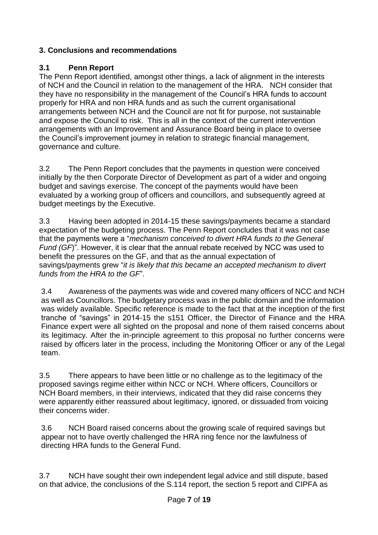# **3. Conclusions and recommendations**

# **3.1 Penn Report**

The Penn Report identified, amongst other things, a lack of alignment in the interests of NCH and the Council in relation to the management of the HRA. NCH consider that they have no responsibility in the management of the Council's HRA funds to account properly for HRA and non HRA funds and as such the current organisational arrangements between NCH and the Council are not fit for purpose, not sustainable and expose the Council to risk. This is all in the context of the current intervention arrangements with an Improvement and Assurance Board being in place to oversee the Council's improvement journey in relation to strategic financial management, governance and culture.

3.2 The Penn Report concludes that the payments in question were conceived initially by the then Corporate Director of Development as part of a wider and ongoing budget and savings exercise. The concept of the payments would have been evaluated by a working group of officers and councillors, and subsequently agreed at budget meetings by the Executive.

3.3 Having been adopted in 2014-15 these savings/payments became a standard expectation of the budgeting process. The Penn Report concludes that it was not case that the payments were a "*mechanism conceived to divert HRA funds to the General Fund (GF*)". However, it is clear that the annual rebate received by NCC was used to benefit the pressures on the GF, and that as the annual expectation of savings/payments grew "*it is likely that this became an accepted mechanism to divert funds from the HRA to the GF*".

3.4 Awareness of the payments was wide and covered many officers of NCC and NCH as well as Councillors. The budgetary process was in the public domain and the information was widely available. Specific reference is made to the fact that at the inception of the first tranche of "savings" in 2014-15 the s151 Officer, the Director of Finance and the HRA Finance expert were all sighted on the proposal and none of them raised concerns about its legitimacy. After the in-principle agreement to this proposal no further concerns were raised by officers later in the process, including the Monitoring Officer or any of the Legal team.

3.5 There appears to have been little or no challenge as to the legitimacy of the proposed savings regime either within NCC or NCH. Where officers, Councillors or NCH Board members, in their interviews, indicated that they did raise concerns they were apparently either reassured about legitimacy, ignored, or dissuaded from voicing their concerns wider.

3.6 NCH Board raised concerns about the growing scale of required savings but appear not to have overtly challenged the HRA ring fence nor the lawfulness of directing HRA funds to the General Fund.

3.7 NCH have sought their own independent legal advice and still dispute, based on that advice, the conclusions of the S.114 report, the section 5 report and CIPFA as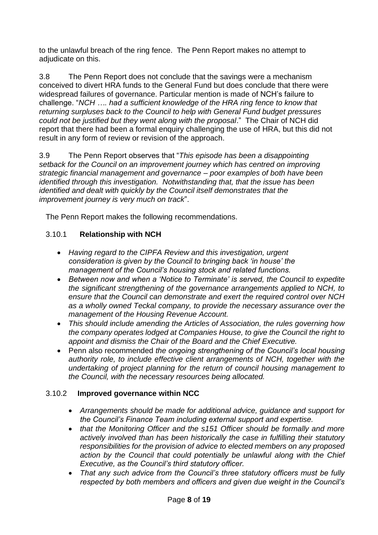to the unlawful breach of the ring fence. The Penn Report makes no attempt to adjudicate on this.

3.8 The Penn Report does not conclude that the savings were a mechanism conceived to divert HRA funds to the General Fund but does conclude that there were widespread failures of governance. Particular mention is made of NCH's failure to challenge. "*NCH …. had a sufficient knowledge of the HRA ring fence to know that returning surpluses back to the Council to help with General Fund budget pressures could not be justified but they went along with the proposal*." The Chair of NCH did report that there had been a formal enquiry challenging the use of HRA, but this did not result in any form of review or revision of the approach.

3.9 The Penn Report observes that "*This episode has been a disappointing setback for the Council on an improvement journey which has centred on improving strategic financial management and governance – poor examples of both have been identified through this investigation. Notwithstanding that, that the issue has been identified and dealt with quickly by the Council itself demonstrates that the improvement journey is very much on track*".

The Penn Report makes the following recommendations.

## 3.10.1 **Relationship with NCH**

- *Having regard to the CIPFA Review and this investigation, urgent consideration is given by the Council to bringing back 'in house' the management of the Council's housing stock and related functions.*
- *Between now and when a 'Notice to Terminate' is served, the Council to expedite the significant strengthening of the governance arrangements applied to NCH, to ensure that the Council can demonstrate and exert the required control over NCH as a wholly owned Teckal company, to provide the necessary assurance over the management of the Housing Revenue Account.*
- *This should include amending the Articles of Association, the rules governing how the company operates lodged at Companies House, to give the Council the right to appoint and dismiss the Chair of the Board and the Chief Executive.*
- Penn also recommended *the ongoing strengthening of the Council's local housing authority role, to include effective client arrangements of NCH, together with the undertaking of project planning for the return of council housing management to the Council, with the necessary resources being allocated.*

## 3.10.2 **Improved governance within NCC**

- *Arrangements should be made for additional advice, guidance and support for the Council's Finance Team including external support and expertise.*
- *that the Monitoring Officer and the s151 Officer should be formally and more actively involved than has been historically the case in fulfilling their statutory responsibilities for the provision of advice to elected members on any proposed* action by the Council that could potentially be unlawful along with the Chief *Executive, as the Council's third statutory officer.*
- *That any such advice from the Council's three statutory officers must be fully respected by both members and officers and given due weight in the Council's*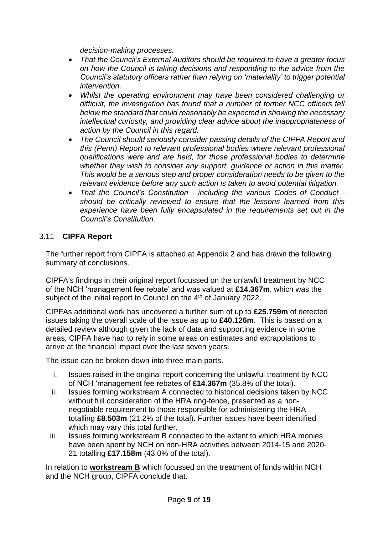*decision-making processes.*

- *That the Council's External Auditors should be required to have a greater focus on how the Council is taking decisions and responding to the advice from the Council's statutory officers rather than relying on 'materiality' to trigger potential intervention.*
- *Whilst the operating environment may have been considered challenging or difficult, the investigation has found that a number of former NCC officers fell below the standard that could reasonably be expected in showing the necessary intellectual curiosity, and providing clear advice about the inappropriateness of action by the Council in this regard.*
- *The Council should seriously consider passing details of the CIPFA Report and this (Penn) Report to relevant professional bodies where relevant professional qualifications were and are held, for those professional bodies to determine whether they wish to consider any support, guidance or action in this matter. This would be a serious step and proper consideration needs to be given to the relevant evidence before any such action is taken to avoid potential litigation.*
- *That the Council's Constitution - including the various Codes of Conduct should be critically reviewed to ensure that the lessons learned from this experience have been fully encapsulated in the requirements set out in the Council's Constitution.*

## 3.11 **CIPFA Report**

The further report from CIPFA is attached at Appendix 2 and has drawn the following summary of conclusions.

CIPFA's findings in their original report focussed on the unlawful treatment by NCC of the NCH 'management fee rebate' and was valued at **£14.367m**, which was the subject of the initial report to Council on the 4<sup>th</sup> of January 2022.

CIPFAs additional work has uncovered a further sum of up to **£25.759m** of detected issues taking the overall scale of the issue as up to **£40.126m**. This is based on a detailed review although given the lack of data and supporting evidence in some areas, CIPFA have had to rely in some areas on estimates and extrapolations to arrive at the financial impact over the last seven years.

The issue can be broken down into three main parts.

- i. Issues raised in the original report concerning the unlawful treatment by NCC of NCH 'management fee rebates of **£14.367m** (35.8% of the total).
- ii. Issues forming workstream A connected to historical decisions taken by NCC without full consideration of the HRA ring-fence, presented as a nonnegotiable requirement to those responsible for administering the HRA totalling **£8.503m** (21.2% of the total). Further issues have been identified which may vary this total further.
- iii. Issues forming workstream B connected to the extent to which HRA monies have been spent by NCH on non-HRA activities between 2014-15 and 2020- 21 totalling **£17.158m** (43.0% of the total).

In relation to **workstream B** which focussed on the treatment of funds within NCH and the NCH group, CIPFA conclude that.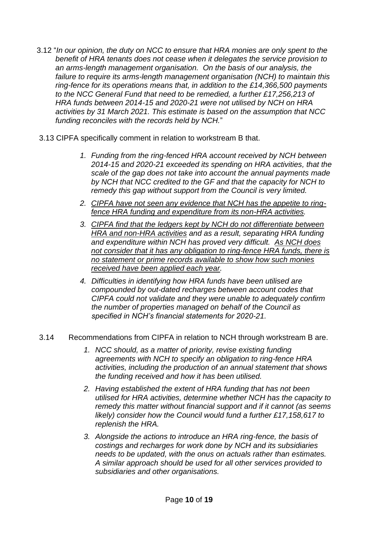- 3.12 "*In our opinion, the duty on NCC to ensure that HRA monies are only spent to the benefit of HRA tenants does not cease when it delegates the service provision to an arms-length management organisation. On the basis of our analysis, the failure to require its arms-length management organisation (NCH) to maintain this ring-fence for its operations means that, in addition to the £14,366,500 payments to the NCC General Fund that need to be remedied, a further £17,256,213 of HRA funds between 2014-15 and 2020-21 were not utilised by NCH on HRA activities by 31 March 2021. This estimate is based on the assumption that NCC funding reconciles with the records held by NCH.*"
- 3.13 CIPFA specifically comment in relation to workstream B that.
	- *1. Funding from the ring-fenced HRA account received by NCH between 2014-15 and 2020-21 exceeded its spending on HRA activities, that the scale of the gap does not take into account the annual payments made by NCH that NCC credited to the GF and that the capacity for NCH to remedy this gap without support from the Council is very limited.*
	- *2. CIPFA have not seen any evidence that NCH has the appetite to ringfence HRA funding and expenditure from its non-HRA activities.*
	- *3. CIPFA find that the ledgers kept by NCH do not differentiate between HRA and non-HRA activities and as a result, separating HRA funding and expenditure within NCH has proved very difficult. As NCH does not consider that it has any obligation to ring-fence HRA funds, there is no statement or prime records available to show how such monies received have been applied each year.*
	- *4. Difficulties in identifying how HRA funds have been utilised are compounded by out-dated recharges between account codes that CIPFA could not validate and they were unable to adequately confirm the number of properties managed on behalf of the Council as specified in NCH's financial statements for 2020-21.*

#### 3.14 Recommendations from CIPFA in relation to NCH through workstream B are.

- *1. NCC should, as a matter of priority, revise existing funding agreements with NCH to specify an obligation to ring-fence HRA activities, including the production of an annual statement that shows the funding received and how it has been utilised.*
- *2. Having established the extent of HRA funding that has not been utilised for HRA activities, determine whether NCH has the capacity to remedy this matter without financial support and if it cannot (as seems likely) consider how the Council would fund a further £17,158,617 to replenish the HRA.*
- *3. Alongside the actions to introduce an HRA ring-fence, the basis of costings and recharges for work done by NCH and its subsidiaries needs to be updated, with the onus on actuals rather than estimates. A similar approach should be used for all other services provided to subsidiaries and other organisations.*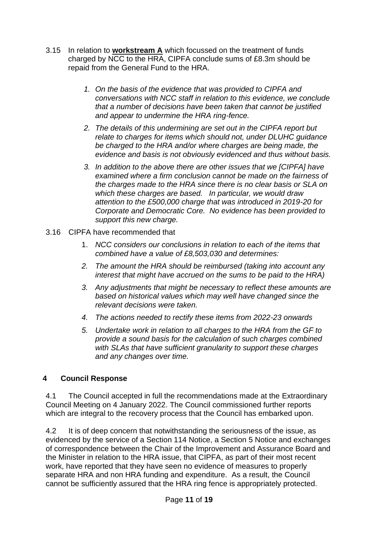- 3.15 In relation to **workstream A** which focussed on the treatment of funds charged by NCC to the HRA, CIPFA conclude sums of £8.3m should be repaid from the General Fund to the HRA.
	- *1. On the basis of the evidence that was provided to CIPFA and conversations with NCC staff in relation to this evidence, we conclude that a number of decisions have been taken that cannot be justified and appear to undermine the HRA ring-fence.*
	- *2. The details of this undermining are set out in the CIPFA report but relate to charges for items which should not, under DLUHC guidance be charged to the HRA and/or where charges are being made, the evidence and basis is not obviously evidenced and thus without basis.*
	- *3. In addition to the above there are other issues that we [CIPFA] have examined where a firm conclusion cannot be made on the fairness of the charges made to the HRA since there is no clear basis or SLA on which these charges are based. In particular, we would draw attention to the £500,000 charge that was introduced in 2019-20 for Corporate and Democratic Core. No evidence has been provided to support this new charge.*
- 3.16 CIPFA have recommended that
	- 1. *NCC considers our conclusions in relation to each of the items that combined have a value of £8,503,030 and determines:*
	- *2. The amount the HRA should be reimbursed (taking into account any interest that might have accrued on the sums to be paid to the HRA)*
	- *3. Any adjustments that might be necessary to reflect these amounts are based on historical values which may well have changed since the relevant decisions were taken.*
	- *4. The actions needed to rectify these items from 2022-23 onwards*
	- *5. Undertake work in relation to all charges to the HRA from the GF to provide a sound basis for the calculation of such charges combined with SLAs that have sufficient granularity to support these charges and any changes over time.*

#### **4 Council Response**

4.1 The Council accepted in full the recommendations made at the Extraordinary Council Meeting on 4 January 2022. The Council commissioned further reports which are integral to the recovery process that the Council has embarked upon.

4.2 It is of deep concern that notwithstanding the seriousness of the issue, as evidenced by the service of a Section 114 Notice, a Section 5 Notice and exchanges of correspondence between the Chair of the Improvement and Assurance Board and the Minister in relation to the HRA issue, that CIPFA, as part of their most recent work, have reported that they have seen no evidence of measures to properly separate HRA and non HRA funding and expenditure. As a result, the Council cannot be sufficiently assured that the HRA ring fence is appropriately protected.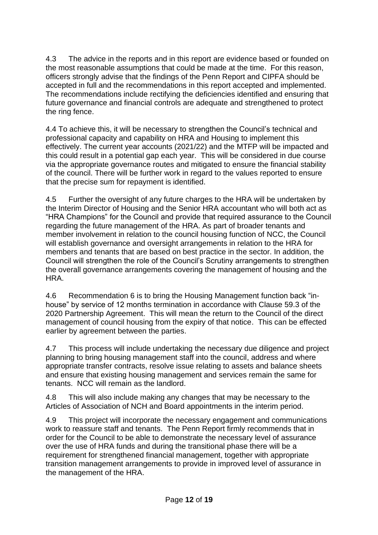4.3 The advice in the reports and in this report are evidence based or founded on the most reasonable assumptions that could be made at the time. For this reason, officers strongly advise that the findings of the Penn Report and CIPFA should be accepted in full and the recommendations in this report accepted and implemented. The recommendations include rectifying the deficiencies identified and ensuring that future governance and financial controls are adequate and strengthened to protect the ring fence.

4.4 To achieve this, it will be necessary to strengthen the Council's technical and professional capacity and capability on HRA and Housing to implement this effectively. The current year accounts (2021/22) and the MTFP will be impacted and this could result in a potential gap each year. This will be considered in due course via the appropriate governance routes and mitigated to ensure the financial stability of the council. There will be further work in regard to the values reported to ensure that the precise sum for repayment is identified.

4.5 Further the oversight of any future charges to the HRA will be undertaken by the Interim Director of Housing and the Senior HRA accountant who will both act as "HRA Champions" for the Council and provide that required assurance to the Council regarding the future management of the HRA. As part of broader tenants and member involvement in relation to the council housing function of NCC, the Council will establish governance and oversight arrangements in relation to the HRA for members and tenants that are based on best practice in the sector. In addition, the Council will strengthen the role of the Council's Scrutiny arrangements to strengthen the overall governance arrangements covering the management of housing and the HRA.

4.6 Recommendation 6 is to bring the Housing Management function back "inhouse" by service of 12 months termination in accordance with Clause 59.3 of the 2020 Partnership Agreement. This will mean the return to the Council of the direct management of council housing from the expiry of that notice. This can be effected earlier by agreement between the parties.

4.7 This process will include undertaking the necessary due diligence and project planning to bring housing management staff into the council, address and where appropriate transfer contracts, resolve issue relating to assets and balance sheets and ensure that existing housing management and services remain the same for tenants. NCC will remain as the landlord.

4.8 This will also include making any changes that may be necessary to the Articles of Association of NCH and Board appointments in the interim period.

4.9 This project will incorporate the necessary engagement and communications work to reassure staff and tenants. The Penn Report firmly recommends that in order for the Council to be able to demonstrate the necessary level of assurance over the use of HRA funds and during the transitional phase there will be a requirement for strengthened financial management, together with appropriate transition management arrangements to provide in improved level of assurance in the management of the HRA.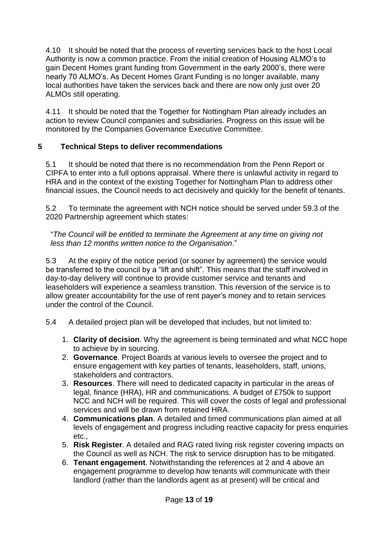4.10 It should be noted that the process of reverting services back to the host Local Authority is now a common practice. From the initial creation of Housing ALMO's to gain Decent Homes grant funding from Government in the early 2000's, there were nearly 70 ALMO's. As Decent Homes Grant Funding is no longer available, many local authorities have taken the services back and there are now only just over 20 ALMOs still operating.

4.11 It should be noted that the Together for Nottingham Plan already includes an action to review Council companies and subsidiaries. Progress on this issue will be monitored by the Companies Governance Executive Committee.

## **5 Technical Steps to deliver recommendations**

5.1 It should be noted that there is no recommendation from the Penn Report or CIPFA to enter into a full options appraisal. Where there is unlawful activity in regard to HRA and in the context of the existing Together for Nottingham Plan to address other financial issues, the Council needs to act decisively and quickly for the benefit of tenants.

5.2 To terminate the agreement with NCH notice should be served under 59.3 of the 2020 Partnership agreement which states:

"*The Council will be entitled to terminate the Agreement at any time on giving not less than 12 months written notice to the Organisation*."

5.3 At the expiry of the notice period (or sooner by agreement) the service would be transferred to the council by a "lift and shift". This means that the staff involved in day-to-day delivery will continue to provide customer service and tenants and leaseholders will experience a seamless transition. This reversion of the service is to allow greater accountability for the use of rent payer's money and to retain services under the control of the Council.

- 5.4 A detailed project plan will be developed that includes, but not limited to:
	- 1. **Clarity of decision**. Why the agreement is being terminated and what NCC hope to achieve by in sourcing.
	- 2. **Governance**. Project Boards at various levels to oversee the project and to ensure engagement with key parties of tenants, leaseholders, staff, unions, stakeholders and contractors.
	- 3. **Resources**. There will need to dedicated capacity in particular in the areas of legal, finance (HRA), HR and communications. A budget of £750k to support NCC and NCH will be required. This will cover the costs of legal and professional services and will be drawn from retained HRA.
	- 4. **Communications plan**. A detailed and timed communications plan aimed at all levels of engagement and progress including reactive capacity for press enquiries etc.,
	- 5. **Risk Register**. A detailed and RAG rated living risk register covering impacts on the Council as well as NCH. The risk to service disruption has to be mitigated.
	- 6. **Tenant engagement**. Notwithstanding the references at 2 and 4 above an engagement programme to develop how tenants will communicate with their landlord (rather than the landlords agent as at present) will be critical and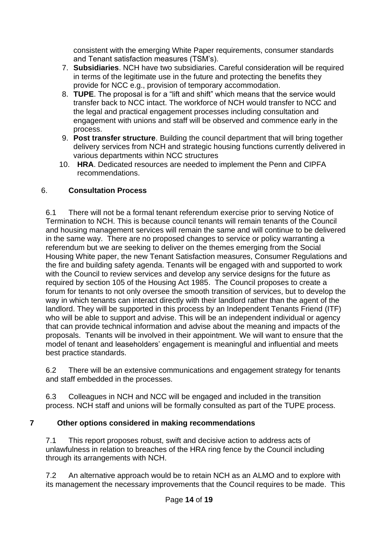consistent with the emerging White Paper requirements, consumer standards and Tenant satisfaction measures (TSM's).

- 7. **Subsidiaries**. NCH have two subsidiaries. Careful consideration will be required in terms of the legitimate use in the future and protecting the benefits they provide for NCC e.g., provision of temporary accommodation.
- 8. **TUPE**. The proposal is for a "lift and shift" which means that the service would transfer back to NCC intact. The workforce of NCH would transfer to NCC and the legal and practical engagement processes including consultation and engagement with unions and staff will be observed and commence early in the process.
- 9. **Post transfer structure**. Building the council department that will bring together delivery services from NCH and strategic housing functions currently delivered in various departments within NCC structures
- 10. **HRA**. Dedicated resources are needed to implement the Penn and CIPFA recommendations.

### 6. **Consultation Process**

6.1 There will not be a formal tenant referendum exercise prior to serving Notice of Termination to NCH. This is because council tenants will remain tenants of the Council and housing management services will remain the same and will continue to be delivered in the same way. There are no proposed changes to service or policy warranting a referendum but we are seeking to deliver on the themes emerging from the Social Housing White paper, the new Tenant Satisfaction measures, Consumer Regulations and the fire and building safety agenda. Tenants will be engaged with and supported to work with the Council to review services and develop any service designs for the future as required by section 105 of the Housing Act 1985. The Council proposes to create a forum for tenants to not only oversee the smooth transition of services, but to develop the way in which tenants can interact directly with their landlord rather than the agent of the landlord. They will be supported in this process by an Independent Tenants Friend (ITF) who will be able to support and advise. This will be an independent individual or agency that can provide technical information and advise about the meaning and impacts of the proposals. Tenants will be involved in their appointment. We will want to ensure that the model of tenant and leaseholders' engagement is meaningful and influential and meets best practice standards.

6.2 There will be an extensive communications and engagement strategy for tenants and staff embedded in the processes.

6.3 Colleagues in NCH and NCC will be engaged and included in the transition process. NCH staff and unions will be formally consulted as part of the TUPE process.

## **7 Other options considered in making recommendations**

7.1 This report proposes robust, swift and decisive action to address acts of unlawfulness in relation to breaches of the HRA ring fence by the Council including through its arrangements with NCH.

7.2 An alternative approach would be to retain NCH as an ALMO and to explore with its management the necessary improvements that the Council requires to be made. This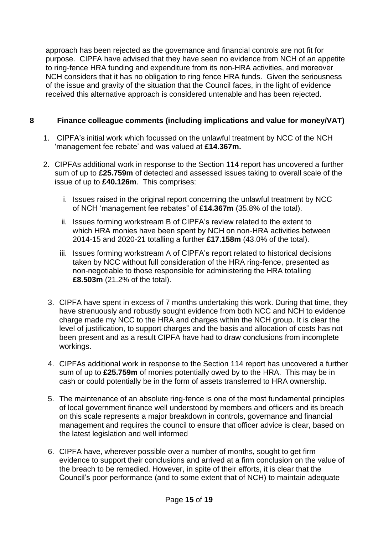approach has been rejected as the governance and financial controls are not fit for purpose. CIPFA have advised that they have seen no evidence from NCH of an appetite to ring-fence HRA funding and expenditure from its non-HRA activities, and moreover NCH considers that it has no obligation to ring fence HRA funds. Given the seriousness of the issue and gravity of the situation that the Council faces, in the light of evidence received this alternative approach is considered untenable and has been rejected.

### **8 Finance colleague comments (including implications and value for money/VAT)**

- 1. CIPFA's initial work which focussed on the unlawful treatment by NCC of the NCH 'management fee rebate' and was valued at **£14.367m.**
- 2. CIPFAs additional work in response to the Section 114 report has uncovered a further sum of up to **£25.759m** of detected and assessed issues taking to overall scale of the issue of up to **£40.126m**. This comprises:
	- i. Issues raised in the original report concerning the unlawful treatment by NCC of NCH 'management fee rebates" of £**14.367m** (35.8% of the total).
	- ii. Issues forming workstream B of CIPFA's review related to the extent to which HRA monies have been spent by NCH on non-HRA activities between 2014-15 and 2020-21 totalling a further **£17.158m** (43.0% of the total).
	- iii. Issues forming workstream A of CIPFA's report related to historical decisions taken by NCC without full consideration of the HRA ring-fence, presented as non-negotiable to those responsible for administering the HRA totalling **£8.503m** (21.2% of the total).
	- 3. CIPFA have spent in excess of 7 months undertaking this work. During that time, they have strenuously and robustly sought evidence from both NCC and NCH to evidence charge made my NCC to the HRA and charges within the NCH group. It is clear the level of justification, to support charges and the basis and allocation of costs has not been present and as a result CIPFA have had to draw conclusions from incomplete workings.
	- 4. CIPFAs additional work in response to the Section 114 report has uncovered a further sum of up to **£25.759m** of monies potentially owed by to the HRA. This may be in cash or could potentially be in the form of assets transferred to HRA ownership.
	- 5. The maintenance of an absolute ring-fence is one of the most fundamental principles of local government finance well understood by members and officers and its breach on this scale represents a major breakdown in controls, governance and financial management and requires the council to ensure that officer advice is clear, based on the latest legislation and well informed
	- 6. CIPFA have, wherever possible over a number of months, sought to get firm evidence to support their conclusions and arrived at a firm conclusion on the value of the breach to be remedied. However, in spite of their efforts, it is clear that the Council's poor performance (and to some extent that of NCH) to maintain adequate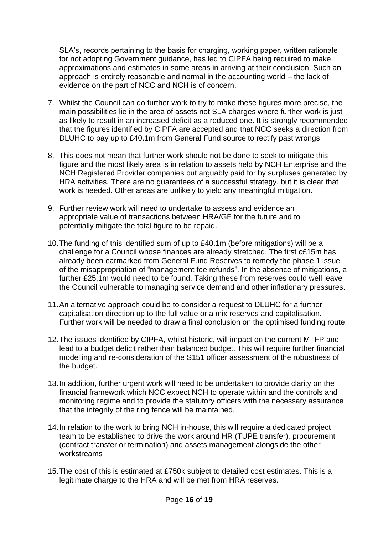SLA's, records pertaining to the basis for charging, working paper, written rationale for not adopting Government guidance, has led to CIPFA being required to make approximations and estimates in some areas in arriving at their conclusion. Such an approach is entirely reasonable and normal in the accounting world – the lack of evidence on the part of NCC and NCH is of concern.

- 7. Whilst the Council can do further work to try to make these figures more precise, the main possibilities lie in the area of assets not SLA charges where further work is just as likely to result in an increased deficit as a reduced one. It is strongly recommended that the figures identified by CIPFA are accepted and that NCC seeks a direction from DLUHC to pay up to £40.1m from General Fund source to rectify past wrongs
- 8. This does not mean that further work should not be done to seek to mitigate this figure and the most likely area is in relation to assets held by NCH Enterprise and the NCH Registered Provider companies but arguably paid for by surpluses generated by HRA activities. There are no guarantees of a successful strategy, but it is clear that work is needed. Other areas are unlikely to yield any meaningful mitigation.
- 9. Further review work will need to undertake to assess and evidence an appropriate value of transactions between HRA/GF for the future and to potentially mitigate the total figure to be repaid.
- 10.The funding of this identified sum of up to £40.1m (before mitigations) will be a challenge for a Council whose finances are already stretched. The first c£15m has already been earmarked from General Fund Reserves to remedy the phase 1 issue of the misappropriation of "management fee refunds". In the absence of mitigations, a further £25.1m would need to be found. Taking these from reserves could well leave the Council vulnerable to managing service demand and other inflationary pressures.
- 11.An alternative approach could be to consider a request to DLUHC for a further capitalisation direction up to the full value or a mix reserves and capitalisation. Further work will be needed to draw a final conclusion on the optimised funding route.
- 12.The issues identified by CIPFA, whilst historic, will impact on the current MTFP and lead to a budget deficit rather than balanced budget. This will require further financial modelling and re-consideration of the S151 officer assessment of the robustness of the budget.
- 13.In addition, further urgent work will need to be undertaken to provide clarity on the financial framework which NCC expect NCH to operate within and the controls and monitoring regime and to provide the statutory officers with the necessary assurance that the integrity of the ring fence will be maintained.
- 14.In relation to the work to bring NCH in-house, this will require a dedicated project team to be established to drive the work around HR (TUPE transfer), procurement (contract transfer or termination) and assets management alongside the other workstreams
- 15.The cost of this is estimated at £750k subject to detailed cost estimates. This is a legitimate charge to the HRA and will be met from HRA reserves.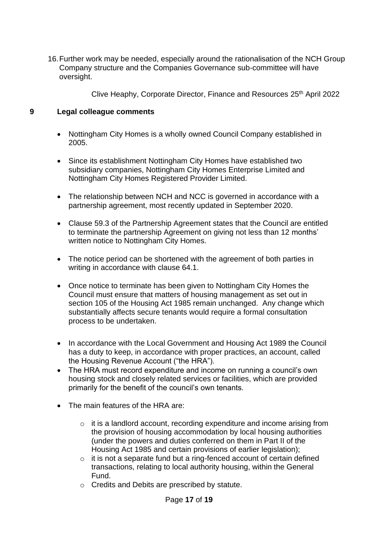16.Further work may be needed, especially around the rationalisation of the NCH Group Company structure and the Companies Governance sub-committee will have oversight.

Clive Heaphy, Corporate Director, Finance and Resources 25th April 2022

### **9 Legal colleague comments**

- Nottingham City Homes is a wholly owned Council Company established in 2005.
- Since its establishment Nottingham City Homes have established two subsidiary companies, Nottingham City Homes Enterprise Limited and Nottingham City Homes Registered Provider Limited.
- The relationship between NCH and NCC is governed in accordance with a partnership agreement, most recently updated in September 2020.
- Clause 59.3 of the Partnership Agreement states that the Council are entitled to terminate the partnership Agreement on giving not less than 12 months' written notice to Nottingham City Homes.
- The notice period can be shortened with the agreement of both parties in writing in accordance with clause 64.1.
- Once notice to terminate has been given to Nottingham City Homes the Council must ensure that matters of housing management as set out in section 105 of the Housing Act 1985 remain unchanged. Any change which substantially affects secure tenants would require a formal consultation process to be undertaken.
- In accordance with the Local Government and Housing Act 1989 the Council has a duty to keep, in accordance with proper practices, an account, called the Housing Revenue Account ("the HRA").
- The HRA must record expenditure and income on running a council's own housing stock and closely related services or facilities, which are provided primarily for the benefit of the council's own tenants.
- The main features of the HRA are:
	- o it is a landlord account, recording expenditure and income arising from the provision of housing accommodation by local housing authorities (under the powers and duties conferred on them in Part II of the Housing Act 1985 and certain provisions of earlier legislation);
	- o it is not a separate fund but a ring-fenced account of certain defined transactions, relating to local authority housing, within the General Fund.
	- o Credits and Debits are prescribed by statute.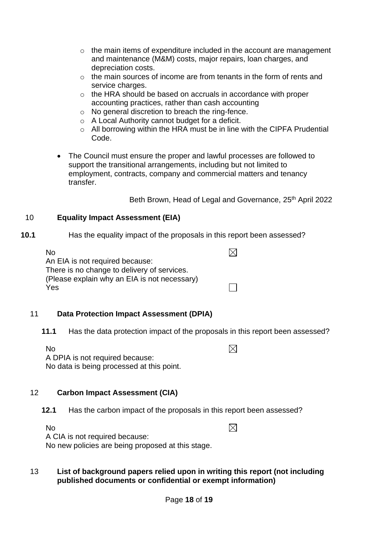- $\circ$  the main items of expenditure included in the account are management and maintenance (M&M) costs, major repairs, loan charges, and depreciation costs.
- $\circ$  the main sources of income are from tenants in the form of rents and service charges.
- o the HRA should be based on accruals in accordance with proper accounting practices, rather than cash accounting
- o No general discretion to breach the ring-fence.
- o A Local Authority cannot budget for a deficit.
- o All borrowing within the HRA must be in line with the CIPFA Prudential Code.
- The Council must ensure the proper and lawful processes are followed to support the transitional arrangements, including but not limited to employment, contracts, company and commercial matters and tenancy transfer.

Beth Brown, Head of Legal and Governance, 25<sup>th</sup> April 2022

### 10 **Equality Impact Assessment (EIA)**

**10.1** Has the equality impact of the proposals in this report been assessed?

| N <sub>0</sub>                               | $\mathbb{X}$ |
|----------------------------------------------|--------------|
| An EIA is not required because:              |              |
| There is no change to delivery of services.  |              |
| (Please explain why an EIA is not necessary) |              |
| Yes                                          |              |

#### 11 **Data Protection Impact Assessment (DPIA)**

**11.1** Has the data protection impact of the proposals in this report been assessed?

No

 $\boxtimes$ 

 $\boxtimes$ 

A DPIA is not required because: No data is being processed at this point.

## 12 **Carbon Impact Assessment (CIA)**

**12.1** Has the carbon impact of the proposals in this report been assessed?

No

A CIA is not required because:

No new policies are being proposed at this stage.

#### 13 **List of background papers relied upon in writing this report (not including published documents or confidential or exempt information)**